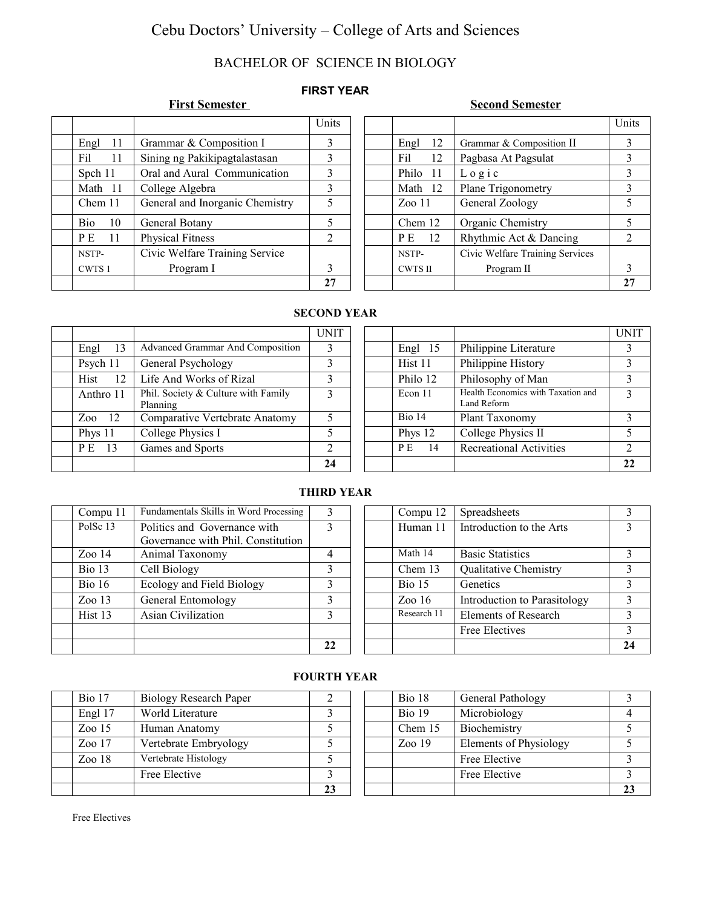# Cebu Doctors' University – College of Arts and Sciences

## BACHELOR OF SCIENCE IN BIOLOGY

## **FIRST YEAR**

### **First Semester** Second Semester

|                       |                                 | Units |                |                                 | Uni            |
|-----------------------|---------------------------------|-------|----------------|---------------------------------|----------------|
| <sup>11</sup><br>Engl | Grammar & Composition I         |       | 12<br>Engl     | Grammar & Composition II        | 3              |
| Fil<br>11             | Sining ng Pakikipagtalastasan   | 3     | Fil<br>12      | Pagbasa At Pagsulat             | 3              |
| Spch 11               | Oral and Aural Communication    | 3     | Philo<br>-11   | $L$ o g i c                     | 3              |
| Math 11               | College Algebra                 | 3     | Math 12        | Plane Trigonometry              |                |
| Chem 11               | General and Inorganic Chemistry | 5     | Zoo11          | General Zoology                 |                |
| 10<br><b>Bio</b>      | General Botany                  | 5     | Chem 12        | Organic Chemistry               |                |
| P E<br>11             | <b>Physical Fitness</b>         | 2     | P E<br>12      | Rhythmic Act & Dancing          | $\overline{2}$ |
| NSTP-                 | Civic Welfare Training Service  |       | NSTP-          | Civic Welfare Training Services |                |
| CWTS 1                | Program I                       |       | <b>CWTS II</b> | Program II                      | 3              |
|                       |                                 | 27    |                |                                 | $2^{\prime}$   |

| Units |                |                                 | Units |
|-------|----------------|---------------------------------|-------|
| 3     | 12<br>Engl     | Grammar & Composition II        | 3     |
| 3     | Fil<br>12      | Pagbasa At Pagsulat             | 3     |
| 3     | Philo<br>11    | $L$ o g i c                     | 3     |
| 3     | Math 12        | Plane Trigonometry              | 3     |
| 5     | Zoo11          | General Zoology                 | 5     |
| 5     | Chem 12        | Organic Chemistry               | 5     |
| 2     | 12<br>PE.      | Rhythmic Act & Dancing          | 2     |
|       | NSTP-          | Civic Welfare Training Services |       |
| 3     | <b>CWTS II</b> | Program II                      | 3     |
| 27    |                |                                 | 27    |

#### **SECOND YEAR**

|            |                                                 | <b>UNIT</b> |  |           |                                                   | UNIT |
|------------|-------------------------------------------------|-------------|--|-----------|---------------------------------------------------|------|
| 13<br>Engl | Advanced Grammar And Composition                | 3           |  | Engl 15   | Philippine Literature                             |      |
| Psych 11   | General Psychology                              | 3           |  | Hist 11   | Philippine History                                |      |
| Hist<br>12 | Life And Works of Rizal                         | 3           |  | Philo 12  | Philosophy of Man                                 |      |
| Anthro 11  | Phil. Society & Culture with Family<br>Planning | $\mathbf 3$ |  | Econ 11   | Health Economics with Taxation and<br>Land Reform |      |
| -12<br>Zoo | Comparative Vertebrate Anatomy                  | 5           |  | Bio 14    | Plant Taxonomy                                    |      |
| Phys 11    | College Physics I                               |             |  | Phys 12   | College Physics II                                |      |
| PE<br>-13  | Games and Sports                                | ∍           |  | P E<br>14 | <b>Recreational Activities</b>                    | ◠    |
|            |                                                 | 24          |  |           |                                                   | 22   |

### **THIRD YEAR**

|                   |                                        | 22           |                   |                              | 24            |
|-------------------|----------------------------------------|--------------|-------------------|------------------------------|---------------|
|                   |                                        |              |                   | Free Electives               | $\mathcal{F}$ |
| Hist 13           | Asian Civilization                     |              | Research 11       | Elements of Research         | 3             |
| Zoo $13$          | General Entomology                     | 3            | Zoo $16$          | Introduction to Parasitology | 3             |
| Bio 16            | Ecology and Field Biology              |              | Bio <sub>15</sub> | Genetics                     | 3             |
| Bio <sub>13</sub> | Cell Biology                           | 3            | Chem $13$         | <b>Qualitative Chemistry</b> | 3             |
| Zoo14             | Animal Taxonomy                        | 4            | Math 14           | <b>Basic Statistics</b>      | 3             |
|                   | Governance with Phil. Constitution     |              |                   |                              |               |
| PolSe 13          | Politics and Governance with           | $\mathbf{R}$ | Human 11          | Introduction to the Arts     | 3             |
| Compu 11          | Fundamentals Skills in Word Processing |              | Compu 12          | <b>Spreadsheets</b>          | 3             |

## **FOURTH YEAR**

| Bio <sub>17</sub> | <b>Biology Research Paper</b> |    |
|-------------------|-------------------------------|----|
| Engl 17           | World Literature              |    |
| Zoo $15$          | Human Anatomy                 |    |
| $Z_{00}$ 17       | Vertebrate Embryology         |    |
| Zoo18             | Vertebrate Histology          |    |
|                   | Free Elective                 |    |
|                   |                               | 23 |

| <b>Bio 17</b> | <b>Biology Research Paper</b> |    | Bio 18      | General Pathology      |    |
|---------------|-------------------------------|----|-------------|------------------------|----|
| Engl 17       | World Literature              |    | Bio 19      | Microbiology           |    |
| Zoo 15        | Human Anatomy                 |    | Chem 15     | Biochemistry           |    |
| Zoo 17        | Vertebrate Embryology         |    | $Z_{00}$ 19 | Elements of Physiology |    |
| Zoo 18        | Vertebrate Histology          |    |             | Free Elective          |    |
|               | Free Elective                 |    |             | Free Elective          |    |
|               |                               | 23 |             |                        | 23 |

Free Electives